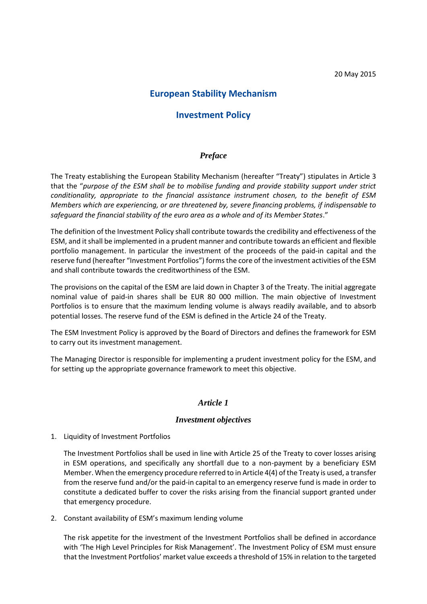# **European Stability Mechanism**

# **Investment Policy**

#### *Preface*

The Treaty establishing the European Stability Mechanism (hereafter "Treaty") stipulates in Article 3 that the "*purpose of the ESM shall be to mobilise funding and provide stability support under strict conditionality, appropriate to the financial assistance instrument chosen, to the benefit of ESM Members which are experiencing, or are threatened by, severe financing problems, if indispensable to safeguard the financial stability of the euro area as a whole and of its Member States*."

The definition of the Investment Policy shall contribute towards the credibility and effectiveness of the ESM, and itshall be implemented in a prudent manner and contribute towards an efficient and flexible portfolio management. In particular the investment of the proceeds of the paid-in capital and the reserve fund (hereafter "Investment Portfolios") formsthe core of the investment activities of the ESM and shall contribute towards the creditworthiness of the ESM.

The provisions on the capital of the ESM are laid down in Chapter 3 of the Treaty. The initial aggregate nominal value of paid-in shares shall be EUR 80 000 million. The main objective of Investment Portfolios is to ensure that the maximum lending volume is always readily available, and to absorb potential losses. The reserve fund of the ESM is defined in the Article 24 of the Treaty.

The ESM Investment Policy is approved by the Board of Directors and defines the framework for ESM to carry out its investment management.

The Managing Director is responsible for implementing a prudent investment policy for the ESM, and for setting up the appropriate governance framework to meet this objective.

#### *Article 1*

#### *Investment objectives*

1. Liquidity of Investment Portfolios

The Investment Portfolios shall be used in line with Article 25 of the Treaty to cover losses arising in ESM operations, and specifically any shortfall due to a non-payment by a beneficiary ESM Member. When the emergency procedure referred to in Article 4(4) of the Treaty is used, a transfer from the reserve fund and/or the paid-in capital to an emergency reserve fund is made in order to constitute a dedicated buffer to cover the risks arising from the financial support granted under that emergency procedure.

2. Constant availability of ESM's maximum lending volume

The risk appetite for the investment of the Investment Portfolios shall be defined in accordance with 'The High Level Principles for Risk Management'. The Investment Policy of ESM must ensure that the Investment Portfolios' market value exceeds a threshold of 15% in relation to the targeted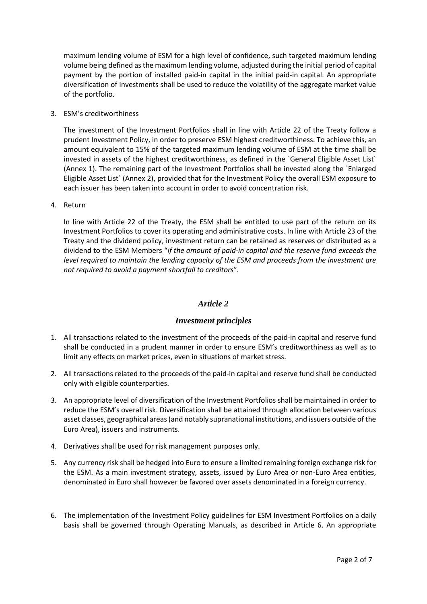maximum lending volume of ESM for a high level of confidence, such targeted maximum lending volume being defined as the maximum lending volume, adjusted during the initial period of capital payment by the portion of installed paid-in capital in the initial paid-in capital. An appropriate diversification of investments shall be used to reduce the volatility of the aggregate market value of the portfolio.

3. ESM's creditworthiness

The investment of the Investment Portfolios shall in line with Article 22 of the Treaty follow a prudent Investment Policy, in order to preserve ESM highest creditworthiness. To achieve this, an amount equivalent to 15% of the targeted maximum lending volume of ESM at the time shall be invested in assets of the highest creditworthiness, as defined in the `General Eligible Asset List` (Annex 1). The remaining part of the Investment Portfolios shall be invested along the `Enlarged Eligible Asset List` (Annex 2), provided that for the Investment Policy the overall ESM exposure to each issuer has been taken into account in order to avoid concentration risk.

4. Return

In line with Article 22 of the Treaty, the ESM shall be entitled to use part of the return on its Investment Portfolios to cover its operating and administrative costs. In line with Article 23 of the Treaty and the dividend policy, investment return can be retained as reserves or distributed as a dividend to the ESM Members "*if the amount of paid-in capital and the reserve fund exceeds the level required to maintain the lending capacity of the ESM and proceeds from the investment are not required to avoid a payment shortfall to creditors*".

# *Article 2*

## *Investment principles*

- 1. All transactions related to the investment of the proceeds of the paid-in capital and reserve fund shall be conducted in a prudent manner in order to ensure ESM's creditworthiness as well as to limit any effects on market prices, even in situations of market stress.
- 2. All transactions related to the proceeds of the paid-in capital and reserve fund shall be conducted only with eligible counterparties.
- 3. An appropriate level of diversification of the Investment Portfolios shall be maintained in order to reduce the ESM's overall risk. Diversification shall be attained through allocation between various asset classes, geographical areas (and notably supranational institutions, and issuers outside of the Euro Area), issuers and instruments.
- 4. Derivatives shall be used for risk management purposes only.
- 5. Any currency risk shall be hedged into Euro to ensure a limited remaining foreign exchange risk for the ESM. As a main investment strategy, assets, issued by Euro Area or non-Euro Area entities, denominated in Euro shall however be favored over assets denominated in a foreign currency.
- 6. The implementation of the Investment Policy guidelines for ESM Investment Portfolios on a daily basis shall be governed through Operating Manuals, as described in Article 6. An appropriate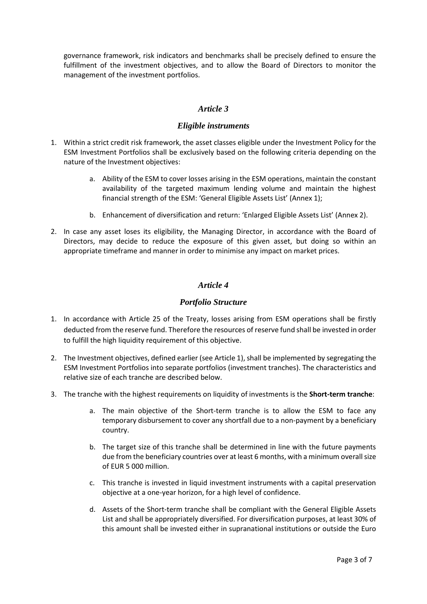governance framework, risk indicators and benchmarks shall be precisely defined to ensure the fulfillment of the investment objectives, and to allow the Board of Directors to monitor the management of the investment portfolios.

## *Article 3*

### *Eligible instruments*

- 1. Within a strict credit risk framework, the asset classes eligible under the Investment Policy for the ESM Investment Portfolios shall be exclusively based on the following criteria depending on the nature of the Investment objectives:
	- a. Ability of the ESM to cover losses arising in the ESM operations, maintain the constant availability of the targeted maximum lending volume and maintain the highest financial strength of the ESM: 'General Eligible Assets List' (Annex 1);
	- b. Enhancement of diversification and return: 'Enlarged Eligible Assets List' (Annex 2).
- 2. In case any asset loses its eligibility, the Managing Director, in accordance with the Board of Directors, may decide to reduce the exposure of this given asset, but doing so within an appropriate timeframe and manner in order to minimise any impact on market prices.

## *Article 4*

### *Portfolio Structure*

- 1. In accordance with Article 25 of the Treaty, losses arising from ESM operations shall be firstly deducted from the reserve fund. Therefore the resources of reserve fund shall be invested in order to fulfill the high liquidity requirement of this objective.
- 2. The Investment objectives, defined earlier (see Article 1), shall be implemented by segregating the ESM Investment Portfolios into separate portfolios (investment tranches). The characteristics and relative size of each tranche are described below.
- 3. The tranche with the highest requirements on liquidity of investments is the **Short-term tranche**:
	- a. The main objective of the Short-term tranche is to allow the ESM to face any temporary disbursement to cover any shortfall due to a non-payment by a beneficiary country.
	- b. The target size of this tranche shall be determined in line with the future payments due from the beneficiary countries over at least 6 months, with a minimum overall size of EUR 5 000 million.
	- c. This tranche is invested in liquid investment instruments with a capital preservation objective at a one-year horizon, for a high level of confidence.
	- d. Assets of the Short-term tranche shall be compliant with the General Eligible Assets List and shall be appropriately diversified. For diversification purposes, at least 30% of this amount shall be invested either in supranational institutions or outside the Euro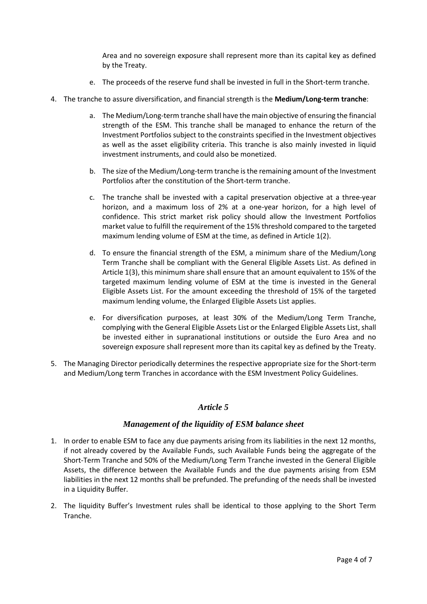Area and no sovereign exposure shall represent more than its capital key as defined by the Treaty.

- e. The proceeds of the reserve fund shall be invested in full in the Short-term tranche.
- 4. The tranche to assure diversification, and financial strength is the **Medium/Long-term tranche**:
	- a. The Medium/Long-term tranche shall have the main objective of ensuring the financial strength of the ESM. This tranche shall be managed to enhance the return of the Investment Portfolios subject to the constraints specified in the Investment objectives as well as the asset eligibility criteria. This tranche is also mainly invested in liquid investment instruments, and could also be monetized.
	- b. The size of the Medium/Long-term tranche is the remaining amount of the Investment Portfolios after the constitution of the Short-term tranche.
	- c. The tranche shall be invested with a capital preservation objective at a three-year horizon, and a maximum loss of 2% at a one-year horizon, for a high level of confidence. This strict market risk policy should allow the Investment Portfolios market value to fulfill the requirement of the 15% threshold compared to the targeted maximum lending volume of ESM at the time, as defined in Article 1(2).
	- d. To ensure the financial strength of the ESM, a minimum share of the Medium/Long Term Tranche shall be compliant with the General Eligible Assets List. As defined in Article 1(3), this minimum share shall ensure that an amount equivalent to 15% of the targeted maximum lending volume of ESM at the time is invested in the General Eligible Assets List. For the amount exceeding the threshold of 15% of the targeted maximum lending volume, the Enlarged Eligible Assets List applies.
	- e. For diversification purposes, at least 30% of the Medium/Long Term Tranche, complying with the General Eligible Assets List or the Enlarged Eligible Assets List, shall be invested either in supranational institutions or outside the Euro Area and no sovereign exposure shall represent more than its capital key as defined by the Treaty.
- 5. The Managing Director periodically determines the respective appropriate size for the Short-term and Medium/Long term Tranches in accordance with the ESM Investment Policy Guidelines.

## *Article 5*

#### *Management of the liquidity of ESM balance sheet*

- 1. In order to enable ESM to face any due payments arising from its liabilities in the next 12 months, if not already covered by the Available Funds, such Available Funds being the aggregate of the Short-Term Tranche and 50% of the Medium/Long Term Tranche invested in the General Eligible Assets, the difference between the Available Funds and the due payments arising from ESM liabilities in the next 12 months shall be prefunded. The prefunding of the needs shall be invested in a Liquidity Buffer.
- 2. The liquidity Buffer's Investment rules shall be identical to those applying to the Short Term Tranche.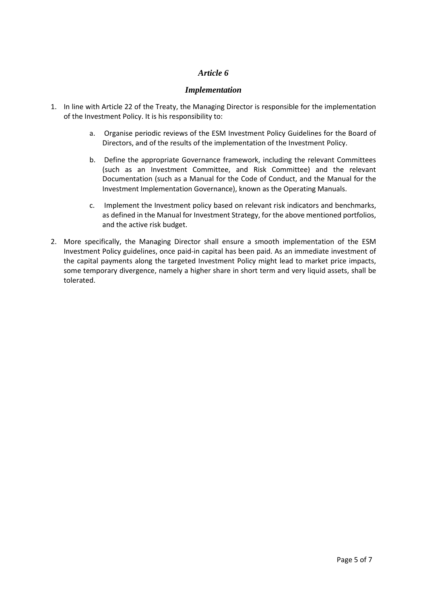## *Article 6*

## *Implementation*

- 1. In line with Article 22 of the Treaty, the Managing Director is responsible for the implementation of the Investment Policy. It is his responsibility to:
	- a. Organise periodic reviews of the ESM Investment Policy Guidelines for the Board of Directors, and of the results of the implementation of the Investment Policy.
	- b. Define the appropriate Governance framework, including the relevant Committees (such as an Investment Committee, and Risk Committee) and the relevant Documentation (such as a Manual for the Code of Conduct, and the Manual for the Investment Implementation Governance), known as the Operating Manuals.
	- c. Implement the Investment policy based on relevant risk indicators and benchmarks, as defined in the Manual for Investment Strategy, for the above mentioned portfolios, and the active risk budget.
- 2. More specifically, the Managing Director shall ensure a smooth implementation of the ESM Investment Policy guidelines, once paid-in capital has been paid. As an immediate investment of the capital payments along the targeted Investment Policy might lead to market price impacts, some temporary divergence, namely a higher share in short term and very liquid assets, shall be tolerated.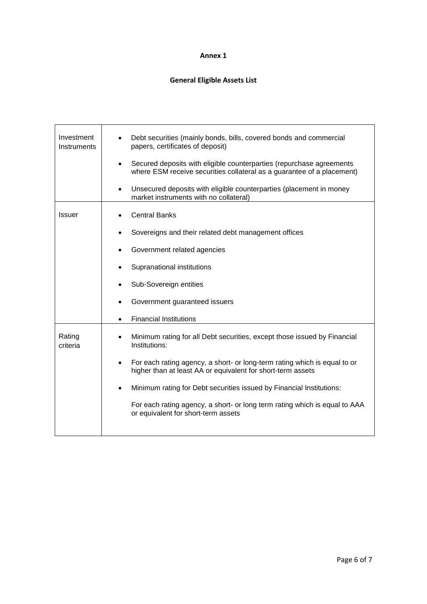#### **Annex 1**

# **General Eligible Assets List**

| Investment<br>Instruments | Debt securities (mainly bonds, bills, covered bonds and commercial<br>papers, certificates of deposit)<br>Secured deposits with eligible counterparties (repurchase agreements<br>٠<br>where ESM receive securities collateral as a guarantee of a placement)<br>Unsecured deposits with eligible counterparties (placement in money<br>market instruments with no collateral)                                                                  |
|---------------------------|-------------------------------------------------------------------------------------------------------------------------------------------------------------------------------------------------------------------------------------------------------------------------------------------------------------------------------------------------------------------------------------------------------------------------------------------------|
| <b>Issuer</b>             | <b>Central Banks</b><br>Sovereigns and their related debt management offices<br>Government related agencies<br>Supranational institutions<br>Sub-Sovereign entities<br>Government guaranteed issuers<br><b>Financial Institutions</b>                                                                                                                                                                                                           |
| Rating<br>criteria        | Minimum rating for all Debt securities, except those issued by Financial<br>Institutions:<br>For each rating agency, a short- or long-term rating which is equal to or<br>$\bullet$<br>higher than at least AA or equivalent for short-term assets<br>Minimum rating for Debt securities issued by Financial Institutions:<br>For each rating agency, a short- or long term rating which is equal to AAA<br>or equivalent for short-term assets |